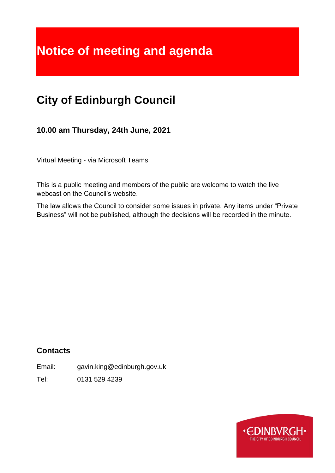# **Notice of meeting and agenda**

## **City of Edinburgh Council**

**10.00 am Thursday, 24th June, 2021**

Virtual Meeting - via Microsoft Teams

This is a public meeting and members of the public are welcome to watch the live webcast on the Council's website.

The law allows the Council to consider some issues in private. Any items under "Private Business" will not be published, although the decisions will be recorded in the minute.

## **Contacts**

Email: gavin.king@edinburgh.gov.uk

Tel: 0131 529 4239

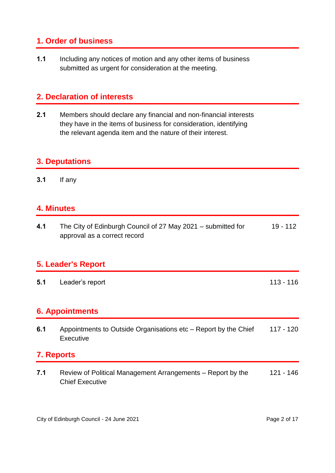## **1. Order of business**

**1.1** Including any notices of motion and any other items of business submitted as urgent for consideration at the meeting.

## **2. Declaration of interests**

**2.1** Members should declare any financial and non-financial interests they have in the items of business for consideration, identifying the relevant agenda item and the nature of their interest.

#### **3. Deputations**

**3.1** If any

## **4. Minutes**

| 4.1 | The City of Edinburgh Council of 27 May 2021 – submitted for | 19 - 112 |
|-----|--------------------------------------------------------------|----------|
|     | approval as a correct record                                 |          |

#### **5. Leader's Report**

**5.1** Leader's report 113 - 116

## **6. Appointments**

| 6.1 | Appointments to Outside Organisations etc – Report by the Chief | 117 - 120 |
|-----|-----------------------------------------------------------------|-----------|
|     | Executive                                                       |           |

## **7. Reports**

**7.1** Review of Political Management Arrangements – Report by the Chief Executive 121 - 146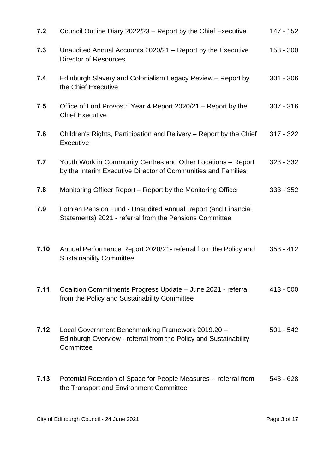| 7.2  | Council Outline Diary 2022/23 – Report by the Chief Executive                                                                      | 147 - 152   |
|------|------------------------------------------------------------------------------------------------------------------------------------|-------------|
| 7.3  | Unaudited Annual Accounts 2020/21 – Report by the Executive<br>Director of Resources                                               | $153 - 300$ |
| 7.4  | Edinburgh Slavery and Colonialism Legacy Review - Report by<br>the Chief Executive                                                 | $301 - 306$ |
| 7.5  | Office of Lord Provost: Year 4 Report 2020/21 – Report by the<br><b>Chief Executive</b>                                            | $307 - 316$ |
| 7.6  | Children's Rights, Participation and Delivery – Report by the Chief<br>Executive                                                   | $317 - 322$ |
| 7.7  | Youth Work in Community Centres and Other Locations - Report<br>by the Interim Executive Director of Communities and Families      | $323 - 332$ |
| 7.8  | Monitoring Officer Report – Report by the Monitoring Officer                                                                       | $333 - 352$ |
| 7.9  | Lothian Pension Fund - Unaudited Annual Report (and Financial<br>Statements) 2021 - referral from the Pensions Committee           |             |
| 7.10 | Annual Performance Report 2020/21- referral from the Policy and<br><b>Sustainability Committee</b>                                 | $353 - 412$ |
| 7.11 | Coalition Commitments Progress Update - June 2021 - referral<br>from the Policy and Sustainability Committee                       | $413 - 500$ |
| 7.12 | Local Government Benchmarking Framework 2019.20 -<br>Edinburgh Overview - referral from the Policy and Sustainability<br>Committee | $501 - 542$ |
| 7.13 | Potential Retention of Space for People Measures - referral from<br>the Transport and Environment Committee                        | 543 - 628   |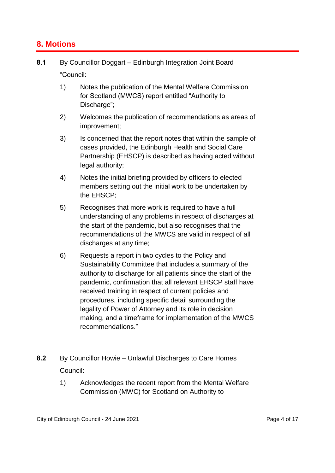### **8. Motions**

- **8.1** By Councillor Doggart Edinburgh Integration Joint Board "Council:
	- 1) Notes the publication of the Mental Welfare Commission for Scotland (MWCS) report entitled "Authority to Discharge";
	- 2) Welcomes the publication of recommendations as areas of improvement;
	- 3) Is concerned that the report notes that within the sample of cases provided, the Edinburgh Health and Social Care Partnership (EHSCP) is described as having acted without legal authority;
	- 4) Notes the initial briefing provided by officers to elected members setting out the initial work to be undertaken by the EHSCP;
	- 5) Recognises that more work is required to have a full understanding of any problems in respect of discharges at the start of the pandemic, but also recognises that the recommendations of the MWCS are valid in respect of all discharges at any time;
	- 6) Requests a report in two cycles to the Policy and Sustainability Committee that includes a summary of the authority to discharge for all patients since the start of the pandemic, confirmation that all relevant EHSCP staff have received training in respect of current policies and procedures, including specific detail surrounding the legality of Power of Attorney and its role in decision making, and a timeframe for implementation of the MWCS recommendations."
- **8.2** By Councillor Howie Unlawful Discharges to Care Homes Council:
	- 1) Acknowledges the recent report from the Mental Welfare Commission (MWC) for Scotland on Authority to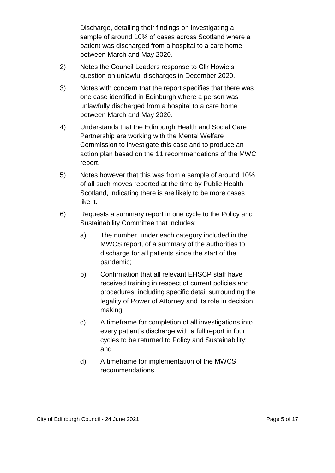Discharge, detailing their findings on investigating a sample of around 10% of cases across Scotland where a patient was discharged from a hospital to a care home between March and May 2020.

- 2) Notes the Council Leaders response to Cllr Howie's question on unlawful discharges in December 2020.
- 3) Notes with concern that the report specifies that there was one case identified in Edinburgh where a person was unlawfully discharged from a hospital to a care home between March and May 2020.
- 4) Understands that the Edinburgh Health and Social Care Partnership are working with the Mental Welfare Commission to investigate this case and to produce an action plan based on the 11 recommendations of the MWC report.
- 5) Notes however that this was from a sample of around 10% of all such moves reported at the time by Public Health Scotland, indicating there is are likely to be more cases like it.
- 6) Requests a summary report in one cycle to the Policy and Sustainability Committee that includes:
	- a) The number, under each category included in the MWCS report, of a summary of the authorities to discharge for all patients since the start of the pandemic;
	- b) Confirmation that all relevant EHSCP staff have received training in respect of current policies and procedures, including specific detail surrounding the legality of Power of Attorney and its role in decision making;
	- c) A timeframe for completion of all investigations into every patient's discharge with a full report in four cycles to be returned to Policy and Sustainability; and
	- d) A timeframe for implementation of the MWCS recommendations.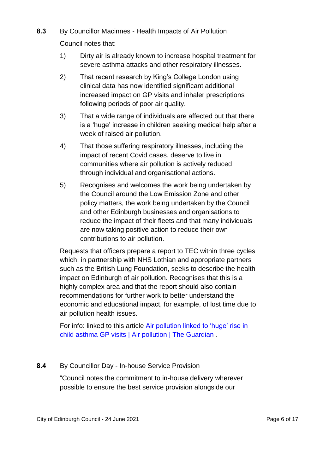**8.3** By Councillor Macinnes - Health Impacts of Air Pollution

Council notes that:

- 1) Dirty air is already known to increase hospital treatment for severe asthma attacks and other respiratory illnesses.
- 2) That recent research by King's College London using clinical data has now identified significant additional increased impact on GP visits and inhaler prescriptions following periods of poor air quality.
- 3) That a wide range of individuals are affected but that there is a 'huge' increase in children seeking medical help after a week of raised air pollution.
- 4) That those suffering respiratory illnesses, including the impact of recent Covid cases, deserve to live in communities where air pollution is actively reduced through individual and organisational actions.
- 5) Recognises and welcomes the work being undertaken by the Council around the Low Emission Zone and other policy matters, the work being undertaken by the Council and other Edinburgh businesses and organisations to reduce the impact of their fleets and that many individuals are now taking positive action to reduce their own contributions to air pollution.

Requests that officers prepare a report to TEC within three cycles which, in partnership with NHS Lothian and appropriate partners such as the British Lung Foundation, seeks to describe the health impact on Edinburgh of air pollution. Recognises that this is a highly complex area and that the report should also contain recommendations for further work to better understand the economic and educational impact, for example, of lost time due to air pollution health issues.

For info: linked to this article [Air pollution linked to 'huge' rise in](https://www.theguardian.com/environment/2021/may/18/air-pollution-linked-to-huge-rise-in-child-asthma-gp-visits)  [child asthma GP visits | Air pollution | The Guardian](https://www.theguardian.com/environment/2021/may/18/air-pollution-linked-to-huge-rise-in-child-asthma-gp-visits) .

#### **8.4** By Councillor Day - In-house Service Provision

"Council notes the commitment to in-house delivery wherever possible to ensure the best service provision alongside our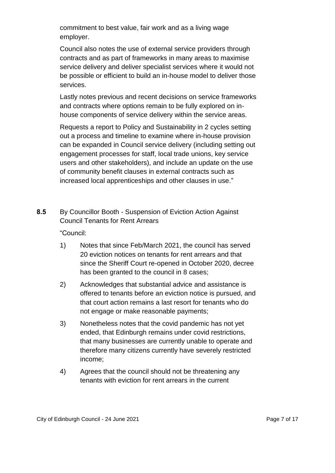commitment to best value, fair work and as a living wage employer.

Council also notes the use of external service providers through contracts and as part of frameworks in many areas to maximise service delivery and deliver specialist services where it would not be possible or efficient to build an in-house model to deliver those services.

Lastly notes previous and recent decisions on service frameworks and contracts where options remain to be fully explored on inhouse components of service delivery within the service areas.

Requests a report to Policy and Sustainability in 2 cycles setting out a process and timeline to examine where in-house provision can be expanded in Council service delivery (including setting out engagement processes for staff, local trade unions, key service users and other stakeholders), and include an update on the use of community benefit clauses in external contracts such as increased local apprenticeships and other clauses in use."

**8.5** By Councillor Booth - Suspension of Eviction Action Against Council Tenants for Rent Arrears

"Council:

- 1) Notes that since Feb/March 2021, the council has served 20 eviction notices on tenants for rent arrears and that since the Sheriff Court re-opened in October 2020, decree has been granted to the council in 8 cases;
- 2) Acknowledges that substantial advice and assistance is offered to tenants before an eviction notice is pursued, and that court action remains a last resort for tenants who do not engage or make reasonable payments;
- 3) Nonetheless notes that the covid pandemic has not yet ended, that Edinburgh remains under covid restrictions, that many businesses are currently unable to operate and therefore many citizens currently have severely restricted income;
- 4) Agrees that the council should not be threatening any tenants with eviction for rent arrears in the current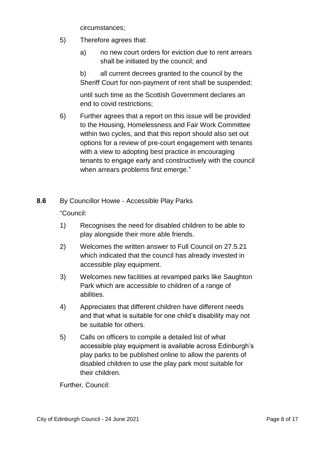circumstances;

- 5) Therefore agrees that:
	- a) no new court orders for eviction due to rent arrears shall be initiated by the council; and
	- b) all current decrees granted to the council by the Sheriff Court for non-payment of rent shall be suspended;

until such time as the Scottish Government declares an end to covid restrictions;

6) Further agrees that a report on this issue will be provided to the Housing, Homelessness and Fair Work Committee within two cycles, and that this report should also set out options for a review of pre-court engagement with tenants with a view to adopting best practice in encouraging tenants to engage early and constructively with the council when arrears problems first emerge."

**8.6** By Councillor Howie - Accessible Play Parks

"Council:

- 1) Recognises the need for disabled children to be able to play alongside their more able friends.
- 2) Welcomes the written answer to Full Council on 27.5.21 which indicated that the council has already invested in accessible play equipment.
- 3) Welcomes new facilities at revamped parks like Saughton Park which are accessible to children of a range of abilities.
- 4) Appreciates that different children have different needs and that what is suitable for one child's disability may not be suitable for others.
- 5) Calls on officers to compile a detailed list of what accessible play equipment is available across Edinburgh's play parks to be published online to allow the parents of disabled children to use the play park most suitable for their children.

Further, Council: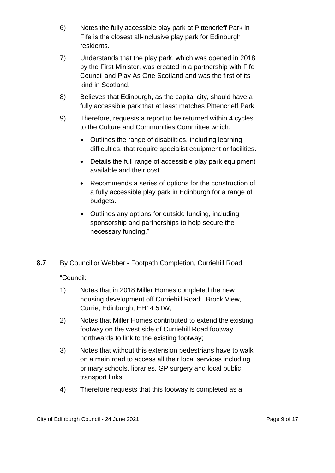- 6) Notes the fully accessible play park at Pittencrieff Park in Fife is the closest all-inclusive play park for Edinburgh residents.
- 7) Understands that the play park, which was opened in 2018 by the First Minister, was created in a partnership with Fife Council and Play As One Scotland and was the first of its kind in Scotland.
- 8) Believes that Edinburgh, as the capital city, should have a fully accessible park that at least matches Pittencrieff Park.
- 9) Therefore, requests a report to be returned within 4 cycles to the Culture and Communities Committee which:
	- Outlines the range of disabilities, including learning difficulties, that require specialist equipment or facilities.
	- Details the full range of accessible play park equipment available and their cost.
	- Recommends a series of options for the construction of a fully accessible play park in Edinburgh for a range of budgets.
	- Outlines any options for outside funding, including sponsorship and partnerships to help secure the necessary funding."
- **8.7** By Councillor Webber Footpath Completion, Curriehill Road

"Council:

- 1) Notes that in 2018 Miller Homes completed the new housing development off Curriehill Road: Brock View, Currie, Edinburgh, EH14 5TW;
- 2) Notes that Miller Homes contributed to extend the existing footway on the west side of Curriehill Road footway northwards to link to the existing footway;
- 3) Notes that without this extension pedestrians have to walk on a main road to access all their local services including primary schools, libraries, GP surgery and local public transport links;
- 4) Therefore requests that this footway is completed as a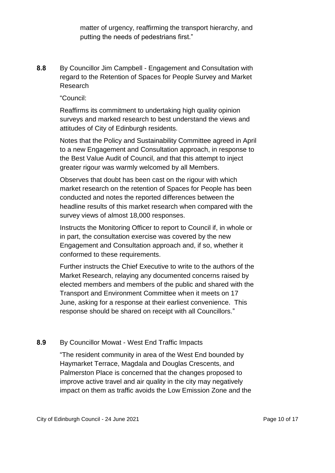matter of urgency, reaffirming the transport hierarchy, and putting the needs of pedestrians first."

**8.8** By Councillor Jim Campbell - Engagement and Consultation with regard to the Retention of Spaces for People Survey and Market Research

"Council:

Reaffirms its commitment to undertaking high quality opinion surveys and marked research to best understand the views and attitudes of City of Edinburgh residents.

Notes that the Policy and Sustainability Committee agreed in April to a new Engagement and Consultation approach, in response to the Best Value Audit of Council, and that this attempt to inject greater rigour was warmly welcomed by all Members.

Observes that doubt has been cast on the rigour with which market research on the retention of Spaces for People has been conducted and notes the reported differences between the headline results of this market research when compared with the survey views of almost 18,000 responses.

Instructs the Monitoring Officer to report to Council if, in whole or in part, the consultation exercise was covered by the new Engagement and Consultation approach and, if so, whether it conformed to these requirements.

Further instructs the Chief Executive to write to the authors of the Market Research, relaying any documented concerns raised by elected members and members of the public and shared with the Transport and Environment Committee when it meets on 17 June, asking for a response at their earliest convenience. This response should be shared on receipt with all Councillors."

#### **8.9** By Councillor Mowat - West End Traffic Impacts

"The resident community in area of the West End bounded by Haymarket Terrace, Magdala and Douglas Crescents, and Palmerston Place is concerned that the changes proposed to improve active travel and air quality in the city may negatively impact on them as traffic avoids the Low Emission Zone and the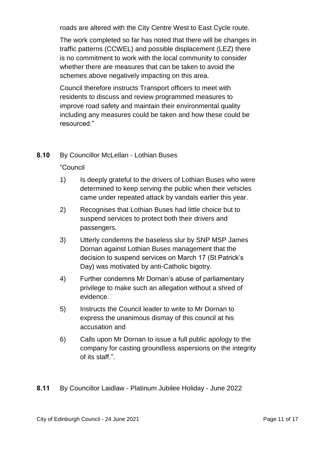roads are altered with the City Centre West to East Cycle route.

The work completed so far has noted that there will be changes in traffic patterns (CCWEL) and possible displacement (LEZ) there is no commitment to work with the local community to consider whether there are measures that can be taken to avoid the schemes above negatively impacting on this area.

Council therefore instructs Transport officers to meet with residents to discuss and review programmed measures to improve road safety and maintain their environmental quality including any measures could be taken and how these could be resourced."

#### **8.10** By Councillor McLellan - Lothian Buses

"Council

- 1) Is deeply grateful to the drivers of Lothian Buses who were determined to keep serving the public when their vehicles came under repeated attack by vandals earlier this year.
- 2) Recognises that Lothian Buses had little choice but to suspend services to protect both their drivers and passengers.
- 3) Utterly condemns the baseless slur by SNP MSP James Dornan against Lothian Buses management that the decision to suspend services on March 17 (St Patrick's Day) was motivated by anti-Catholic bigotry.
- 4) Further condemns Mr Dornan's abuse of parliamentary privilege to make such an allegation without a shred of evidence.
- 5) Instructs the Council leader to write to Mr Dornan to express the unanimous dismay of this council at his accusation and
- 6) Calls upon Mr Dornan to issue a full public apology to the company for casting groundless aspersions on the integrity of its staff.".

**8.11** By Councillor Laidlaw - Platinum Jubilee Holiday - June 2022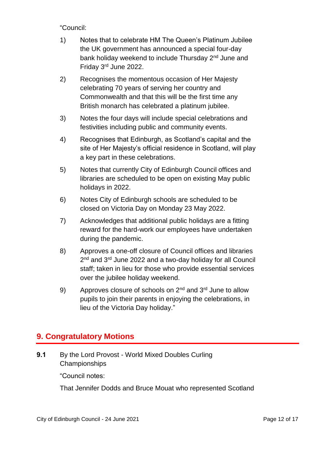"Council:

- 1) Notes that to celebrate HM The Queen's Platinum Jubilee the UK government has announced a special four-day bank holiday weekend to include Thursday 2<sup>nd</sup> June and Friday 3rd June 2022.
- 2) Recognises the momentous occasion of Her Majesty celebrating 70 years of serving her country and Commonwealth and that this will be the first time any British monarch has celebrated a platinum jubilee.
- 3) Notes the four days will include special celebrations and festivities including public and community events.
- 4) Recognises that Edinburgh, as Scotland's capital and the site of Her Majesty's official residence in Scotland, will play a key part in these celebrations.
- 5) Notes that currently City of Edinburgh Council offices and libraries are scheduled to be open on existing May public holidays in 2022.
- 6) Notes City of Edinburgh schools are scheduled to be closed on Victoria Day on Monday 23 May 2022.
- 7) Acknowledges that additional public holidays are a fitting reward for the hard-work our employees have undertaken during the pandemic.
- 8) Approves a one-off closure of Council offices and libraries 2<sup>nd</sup> and 3<sup>rd</sup> June 2022 and a two-day holiday for all Council staff; taken in lieu for those who provide essential services over the jubilee holiday weekend.
- 9) Approves closure of schools on  $2^{nd}$  and  $3^{rd}$  June to allow pupils to join their parents in enjoying the celebrations, in lieu of the Victoria Day holiday."

## **9. Congratulatory Motions**

**9.1** By the Lord Provost - World Mixed Doubles Curling Championships

"Council notes:

That Jennifer Dodds and Bruce Mouat who represented Scotland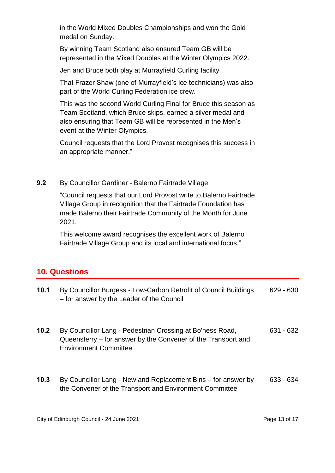in the World Mixed Doubles Championships and won the Gold medal on Sunday.

By winning Team Scotland also ensured Team GB will be represented in the Mixed Doubles at the Winter Olympics 2022.

Jen and Bruce both play at Murrayfield Curling facility.

That Frazer Shaw (one of Murrayfield's ice technicians) was also part of the World Curling Federation ice crew.

This was the second World Curling Final for Bruce this season as Team Scotland, which Bruce skips, earned a silver medal and also ensuring that Team GB will be represented in the Men's event at the Winter Olympics.

Council requests that the Lord Provost recognises this success in an appropriate manner."

#### **9.2** By Councillor Gardiner - Balerno Fairtrade Village

"Council requests that our Lord Provost write to Balerno Fairtrade Village Group in recognition that the Fairtrade Foundation has made Balerno their Fairtrade Community of the Month for June 2021.

This welcome award recognises the excellent work of Balerno Fairtrade Village Group and its local and international focus."

#### **10. Questions**

| 10.1 | By Councillor Burgess - Low-Carbon Retrofit of Council Buildings<br>- for answer by the Leader of the Council                                              | $629 - 630$ |
|------|------------------------------------------------------------------------------------------------------------------------------------------------------------|-------------|
| 10.2 | By Councillor Lang - Pedestrian Crossing at Bo'ness Road,<br>Queensferry – for answer by the Convener of the Transport and<br><b>Environment Committee</b> | $631 - 632$ |
| 10.3 | By Councillor Lang - New and Replacement Bins – for answer by<br>the Convener of the Transport and Environment Committee                                   | $633 - 634$ |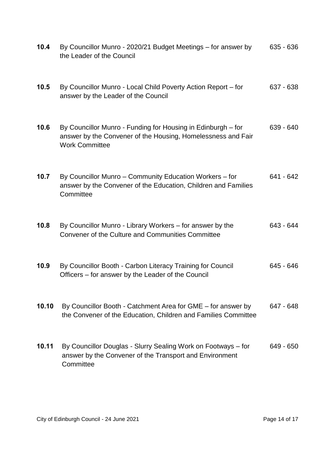| 10.4  | By Councillor Munro - 2020/21 Budget Meetings – for answer by<br>the Leader of the Council                                                            | $635 - 636$ |
|-------|-------------------------------------------------------------------------------------------------------------------------------------------------------|-------------|
| 10.5  | By Councillor Munro - Local Child Poverty Action Report – for<br>answer by the Leader of the Council                                                  | 637 - 638   |
| 10.6  | By Councillor Munro - Funding for Housing in Edinburgh – for<br>answer by the Convener of the Housing, Homelessness and Fair<br><b>Work Committee</b> | $639 - 640$ |
| 10.7  | By Councillor Munro - Community Education Workers - for<br>answer by the Convener of the Education, Children and Families<br>Committee                | 641 - 642   |
| 10.8  | By Councillor Munro - Library Workers – for answer by the<br>Convener of the Culture and Communities Committee                                        | 643 - 644   |
| 10.9  | By Councillor Booth - Carbon Literacy Training for Council<br>Officers – for answer by the Leader of the Council                                      | 645 - 646   |
| 10.10 | By Councillor Booth - Catchment Area for GME - for answer by<br>the Convener of the Education, Children and Families Committee                        | 647 - 648   |
| 10.11 | By Councillor Douglas - Slurry Sealing Work on Footways – for<br>answer by the Convener of the Transport and Environment<br>Committee                 | 649 - 650   |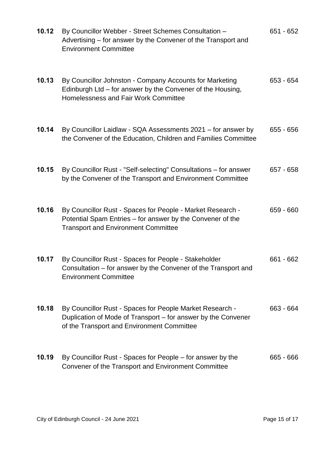| 10.12 | By Councillor Webber - Street Schemes Consultation -<br>Advertising – for answer by the Convener of the Transport and<br><b>Environment Committee</b>                   | $651 - 652$ |
|-------|-------------------------------------------------------------------------------------------------------------------------------------------------------------------------|-------------|
| 10.13 | By Councillor Johnston - Company Accounts for Marketing<br>Edinburgh Ltd – for answer by the Convener of the Housing,<br>Homelessness and Fair Work Committee           | 653 - 654   |
| 10.14 | By Councillor Laidlaw - SQA Assessments 2021 – for answer by<br>the Convener of the Education, Children and Families Committee                                          | $655 - 656$ |
| 10.15 | By Councillor Rust - "Self-selecting" Consultations - for answer<br>by the Convener of the Transport and Environment Committee                                          | $657 - 658$ |
| 10.16 | By Councillor Rust - Spaces for People - Market Research -<br>Potential Spam Entries – for answer by the Convener of the<br><b>Transport and Environment Committee</b>  | 659 - 660   |
| 10.17 | By Councillor Rust - Spaces for People - Stakeholder<br>Consultation – for answer by the Convener of the Transport and<br><b>Environment Committee</b>                  | $661 - 662$ |
| 10.18 | By Councillor Rust - Spaces for People Market Research -<br>Duplication of Mode of Transport – for answer by the Convener<br>of the Transport and Environment Committee | 663 - 664   |
| 10.19 | By Councillor Rust - Spaces for People – for answer by the<br>Convener of the Transport and Environment Committee                                                       | 665 - 666   |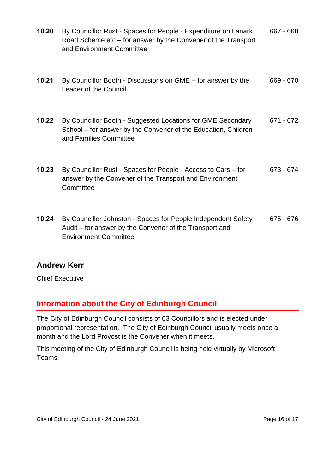| 10.20 | By Councillor Rust - Spaces for People - Expenditure on Lanark<br>Road Scheme etc – for answer by the Convener of the Transport<br>and Environment Committee | 667 - 668   |
|-------|--------------------------------------------------------------------------------------------------------------------------------------------------------------|-------------|
| 10.21 | By Councillor Booth - Discussions on GME – for answer by the<br><b>Leader of the Council</b>                                                                 | 669 - 670   |
| 10.22 | By Councillor Booth - Suggested Locations for GME Secondary<br>School – for answer by the Convener of the Education, Children<br>and Families Committee      | 671 - 672   |
| 10.23 | By Councillor Rust - Spaces for People - Access to Cars – for<br>answer by the Convener of the Transport and Environment<br>Committee                        | 673 - 674   |
| 10.24 | By Councillor Johnston - Spaces for People Independent Safety<br>Audit – for answer by the Convener of the Transport and<br><b>Environment Committee</b>     | $675 - 676$ |

#### **Andrew Kerr**

Chief Executive

## **Information about the City of Edinburgh Council**

The City of Edinburgh Council consists of 63 Councillors and is elected under proportional representation. The City of Edinburgh Council usually meets once a month and the Lord Provost is the Convener when it meets.

This meeting of the City of Edinburgh Council is being held virtually by Microsoft Teams.